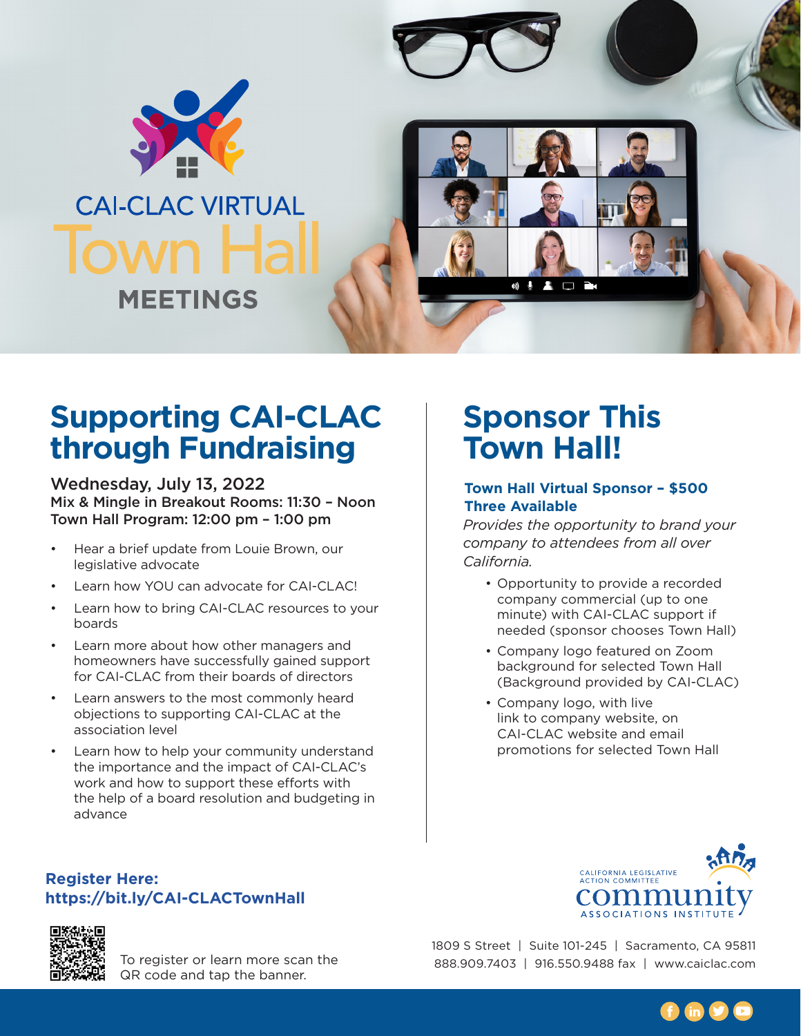

# **Supporting CAI-CLAC through Fundraising**

Wednesday, July 13, 2022 Mix & Mingle in Breakout Rooms: 11:30 – Noon Town Hall Program: 12:00 pm – 1:00 pm

- Hear a brief update from Louie Brown, our legislative advocate
- Learn how YOU can advocate for CAI-CLAC!
- Learn how to bring CAI-CLAC resources to your boards
- Learn more about how other managers and homeowners have successfully gained support for CAI-CLAC from their boards of directors
- Learn answers to the most commonly heard objections to supporting CAI-CLAC at the association level
- Learn how to help your community understand the importance and the impact of CAI-CLAC's work and how to support these efforts with the help of a board resolution and budgeting in advance

# **Sponsor This Town Hall!**

### **Town Hall Virtual Sponsor – \$500 Three Available**

*Provides the opportunity to brand your company to attendees from all over California.*

- Opportunity to provide a recorded company commercial (up to one minute) with CAI-CLAC support if needed (sponsor chooses Town Hall)
- Company logo featured on Zoom background for selected Town Hall (Background provided by CAI-CLAC)
- Company logo, with live link to company website, on CAI-CLAC website and email promotions for selected Town Hall







To register or learn more scan the QR code and tap the banner.

1809 S Street | Suite 101-245 | Sacramento, CA 95811 888.909.7403 | 916.550.9488 fax | [www.caiclac.com](http://www.caiclac.com)